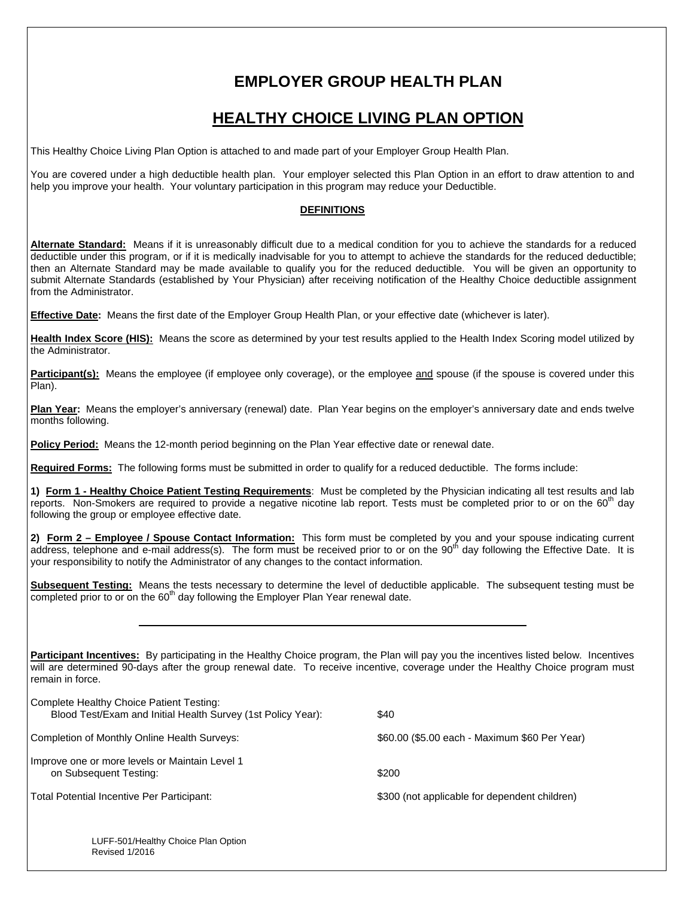# **EMPLOYER GROUP HEALTH PLAN**

## **HEALTHY CHOICE LIVING PLAN OPTION**

This Healthy Choice Living Plan Option is attached to and made part of your Employer Group Health Plan.

You are covered under a high deductible health plan. Your employer selected this Plan Option in an effort to draw attention to and help you improve your health. Your voluntary participation in this program may reduce your Deductible.

### **DEFINITIONS**

**Alternate Standard:** Means if it is unreasonably difficult due to a medical condition for you to achieve the standards for a reduced deductible under this program, or if it is medically inadvisable for you to attempt to achieve the standards for the reduced deductible; then an Alternate Standard may be made available to qualify you for the reduced deductible. You will be given an opportunity to submit Alternate Standards (established by Your Physician) after receiving notification of the Healthy Choice deductible assignment from the Administrator.

**Effective Date:** Means the first date of the Employer Group Health Plan, or your effective date (whichever is later).

**Health Index Score (HIS):** Means the score as determined by your test results applied to the Health Index Scoring model utilized by the Administrator.

Participant(s): Means the employee (if employee only coverage), or the employee and spouse (if the spouse is covered under this Plan).

**Plan Year:** Means the employer's anniversary (renewal) date. Plan Year begins on the employer's anniversary date and ends twelve months following.

**Policy Period:** Means the 12-month period beginning on the Plan Year effective date or renewal date.

**Required Forms:** The following forms must be submitted in order to qualify for a reduced deductible. The forms include:

**1) Form 1 - Healthy Choice Patient Testing Requirements**: Must be completed by the Physician indicating all test results and lab reports. Non-Smokers are required to provide a negative nicotine lab report. Tests must be completed prior to or on the 60<sup>th</sup> day following the group or employee effective date.

**2) Form 2 – Employee / Spouse Contact Information:** This form must be completed by you and your spouse indicating current address, telephone and e-mail address(s). The form must be received prior to or on the 90<sup>th</sup> day following the Effective Date. It is your responsibility to notify the Administrator of any changes to the contact information.

**Subsequent Testing:** Means the tests necessary to determine the level of deductible applicable. The subsequent testing must be  $\overline{\text{completed}}$  prior to or on the 60<sup>th</sup> day following the Employer Plan Year renewal date.

**Participant Incentives:** By participating in the Healthy Choice program, the Plan will pay you the incentives listed below. Incentives will are determined 90-days after the group renewal date. To receive incentive, coverage under the Healthy Choice program must remain in force.

| Complete Healthy Choice Patient Testing:<br>Blood Test/Exam and Initial Health Survey (1st Policy Year): | \$40                                          |
|----------------------------------------------------------------------------------------------------------|-----------------------------------------------|
| Completion of Monthly Online Health Surveys:                                                             | \$60.00 (\$5.00 each - Maximum \$60 Per Year) |
| Improve one or more levels or Maintain Level 1<br>on Subsequent Testing:                                 | \$200                                         |
| Total Potential Incentive Per Participant:                                                               | \$300 (not applicable for dependent children) |

LUFF-501/Healthy Choice Plan Option Revised 1/2016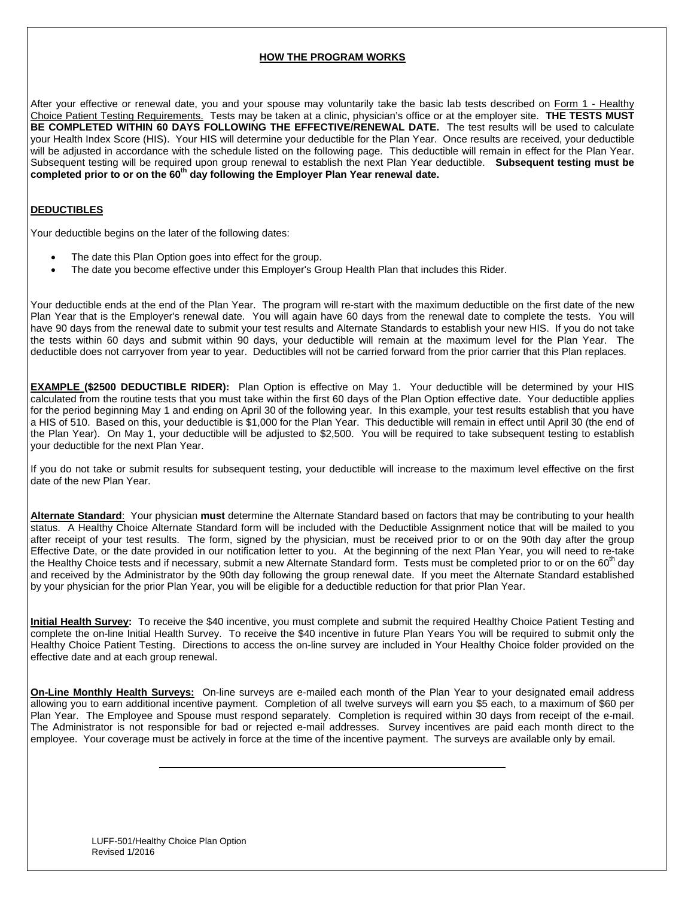#### **HOW THE PROGRAM WORKS**

After your effective or renewal date, you and your spouse may voluntarily take the basic lab tests described on Form 1 - Healthy Choice Patient Testing Requirements. Tests may be taken at a clinic, physician's office or at the employer site. **THE TESTS MUST BE COMPLETED WITHIN 60 DAYS FOLLOWING THE EFFECTIVE/RENEWAL DATE.** The test results will be used to calculate your Health Index Score (HIS). Your HIS will determine your deductible for the Plan Year. Once results are received, your deductible will be adjusted in accordance with the schedule listed on the following page. This deductible will remain in effect for the Plan Year. Subsequent testing will be required upon group renewal to establish the next Plan Year deductible. **Subsequent testing must be**  completed prior to or on the 60<sup>th</sup> day following the Employer Plan Year renewal date.

### **DEDUCTIBLES**

Your deductible begins on the later of the following dates:

- The date this Plan Option goes into effect for the group.
- The date you become effective under this Employer's Group Health Plan that includes this Rider.

Your deductible ends at the end of the Plan Year. The program will re-start with the maximum deductible on the first date of the new Plan Year that is the Employer's renewal date. You will again have 60 days from the renewal date to complete the tests. You will have 90 days from the renewal date to submit your test results and Alternate Standards to establish your new HIS. If you do not take the tests within 60 days and submit within 90 days, your deductible will remain at the maximum level for the Plan Year. The deductible does not carryover from year to year. Deductibles will not be carried forward from the prior carrier that this Plan replaces.

**EXAMPLE (\$2500 DEDUCTIBLE RIDER):** Plan Option is effective on May 1. Your deductible will be determined by your HIS calculated from the routine tests that you must take within the first 60 days of the Plan Option effective date. Your deductible applies for the period beginning May 1 and ending on April 30 of the following year. In this example, your test results establish that you have a HIS of 510. Based on this, your deductible is \$1,000 for the Plan Year. This deductible will remain in effect until April 30 (the end of the Plan Year). On May 1, your deductible will be adjusted to \$2,500. You will be required to take subsequent testing to establish your deductible for the next Plan Year.

If you do not take or submit results for subsequent testing, your deductible will increase to the maximum level effective on the first date of the new Plan Year.

**Alternate Standard**: Your physician **must** determine the Alternate Standard based on factors that may be contributing to your health status. A Healthy Choice Alternate Standard form will be included with the Deductible Assignment notice that will be mailed to you after receipt of your test results. The form, signed by the physician, must be received prior to or on the 90th day after the group Effective Date, or the date provided in our notification letter to you. At the beginning of the next Plan Year, you will need to re-take the Healthy Choice tests and if necessary, submit a new Alternate Standard form. Tests must be completed prior to or on the 60<sup>th</sup> day and received by the Administrator by the 90th day following the group renewal date. If you meet the Alternate Standard established by your physician for the prior Plan Year, you will be eligible for a deductible reduction for that prior Plan Year.

**Initial Health Survey:** To receive the \$40 incentive, you must complete and submit the required Healthy Choice Patient Testing and complete the on-line Initial Health Survey. To receive the \$40 incentive in future Plan Years You will be required to submit only the Healthy Choice Patient Testing. Directions to access the on-line survey are included in Your Healthy Choice folder provided on the effective date and at each group renewal.

**On-Line Monthly Health Surveys:** On-line surveys are e-mailed each month of the Plan Year to your designated email address allowing you to earn additional incentive payment. Completion of all twelve surveys will earn you \$5 each, to a maximum of \$60 per Plan Year. The Employee and Spouse must respond separately. Completion is required within 30 days from receipt of the e-mail. The Administrator is not responsible for bad or rejected e-mail addresses. Survey incentives are paid each month direct to the employee. Your coverage must be actively in force at the time of the incentive payment. The surveys are available only by email.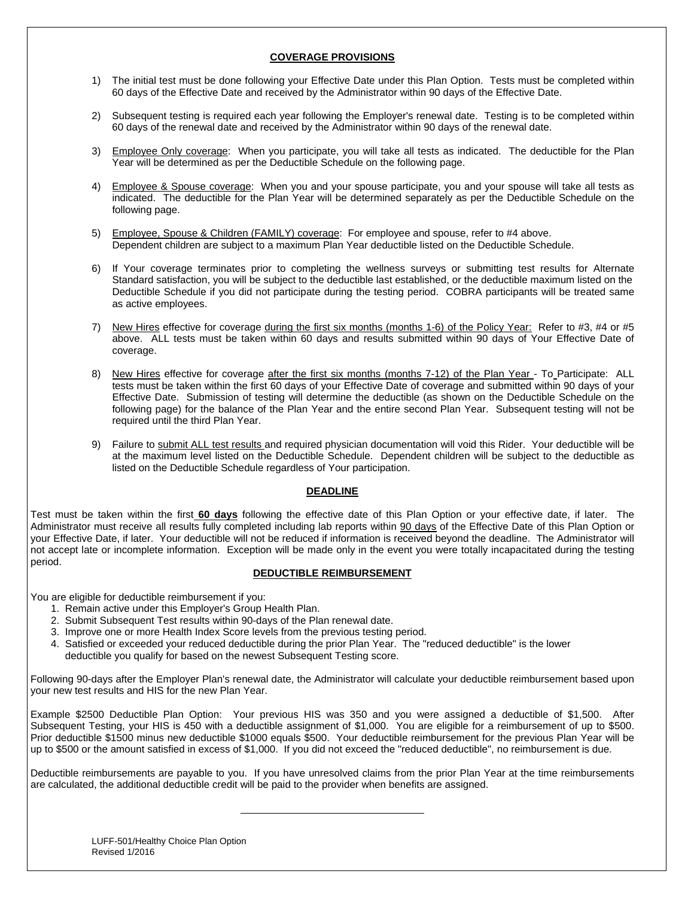#### **COVERAGE PROVISIONS**

- 1) The initial test must be done following your Effective Date under this Plan Option. Tests must be completed within 60 days of the Effective Date and received by the Administrator within 90 days of the Effective Date.
- 2) Subsequent testing is required each year following the Employer's renewal date. Testing is to be completed within 60 days of the renewal date and received by the Administrator within 90 days of the renewal date.
- 3) Employee Only coverage: When you participate, you will take all tests as indicated. The deductible for the Plan Year will be determined as per the Deductible Schedule on the following page.
- 4) Employee & Spouse coverage: When you and your spouse participate, you and your spouse will take all tests as indicated. The deductible for the Plan Year will be determined separately as per the Deductible Schedule on the following page.
- 5) Employee, Spouse & Children (FAMILY) coverage: For employee and spouse, refer to #4 above. Dependent children are subject to a maximum Plan Year deductible listed on the Deductible Schedule.
- 6) If Your coverage terminates prior to completing the wellness surveys or submitting test results for Alternate Standard satisfaction, you will be subject to the deductible last established, or the deductible maximum listed on the Deductible Schedule if you did not participate during the testing period. COBRA participants will be treated same as active employees.
- 7) New Hires effective for coverage during the first six months (months 1-6) of the Policy Year: Refer to #3, #4 or #5 above. ALL tests must be taken within 60 days and results submitted within 90 days of Your Effective Date of coverage.
- 8) New Hires effective for coverage after the first six months (months 7-12) of the Plan Year To Participate: ALL tests must be taken within the first 60 days of your Effective Date of coverage and submitted within 90 days of your Effective Date. Submission of testing will determine the deductible (as shown on the Deductible Schedule on the following page) for the balance of the Plan Year and the entire second Plan Year. Subsequent testing will not be required until the third Plan Year.
- 9) Failure to submit ALL test results and required physician documentation will void this Rider. Your deductible will be at the maximum level listed on the Deductible Schedule. Dependent children will be subject to the deductible as listed on the Deductible Schedule regardless of Your participation.

#### **DEADLINE**

Test must be taken within the first **60 days** following the effective date of this Plan Option or your effective date, if later. The Administrator must receive all results fully completed including lab reports within 90 days of the Effective Date of this Plan Option or your Effective Date, if later. Your deductible will not be reduced if information is received beyond the deadline. The Administrator will not accept late or incomplete information. Exception will be made only in the event you were totally incapacitated during the testing period.

#### **DEDUCTIBLE REIMBURSEMENT**

You are eligible for deductible reimbursement if you:

- 1. Remain active under this Employer's Group Health Plan.
- 2. Submit Subsequent Test results within 90-days of the Plan renewal date.
- 3. Improve one or more Health Index Score levels from the previous testing period.

 4. Satisfied or exceeded your reduced deductible during the prior Plan Year. The "reduced deductible" is the lower deductible you qualify for based on the newest Subsequent Testing score.

Following 90-days after the Employer Plan's renewal date, the Administrator will calculate your deductible reimbursement based upon your new test results and HIS for the new Plan Year.

Example \$2500 Deductible Plan Option: Your previous HIS was 350 and you were assigned a deductible of \$1,500. After Subsequent Testing, your HIS is 450 with a deductible assignment of \$1,000. You are eligible for a reimbursement of up to \$500. Prior deductible \$1500 minus new deductible \$1000 equals \$500. Your deductible reimbursement for the previous Plan Year will be up to \$500 or the amount satisfied in excess of \$1,000. If you did not exceed the "reduced deductible", no reimbursement is due.

Deductible reimbursements are payable to you. If you have unresolved claims from the prior Plan Year at the time reimbursements are calculated, the additional deductible credit will be paid to the provider when benefits are assigned.

LUFF-501/Healthy Choice Plan Option Revised 1/2016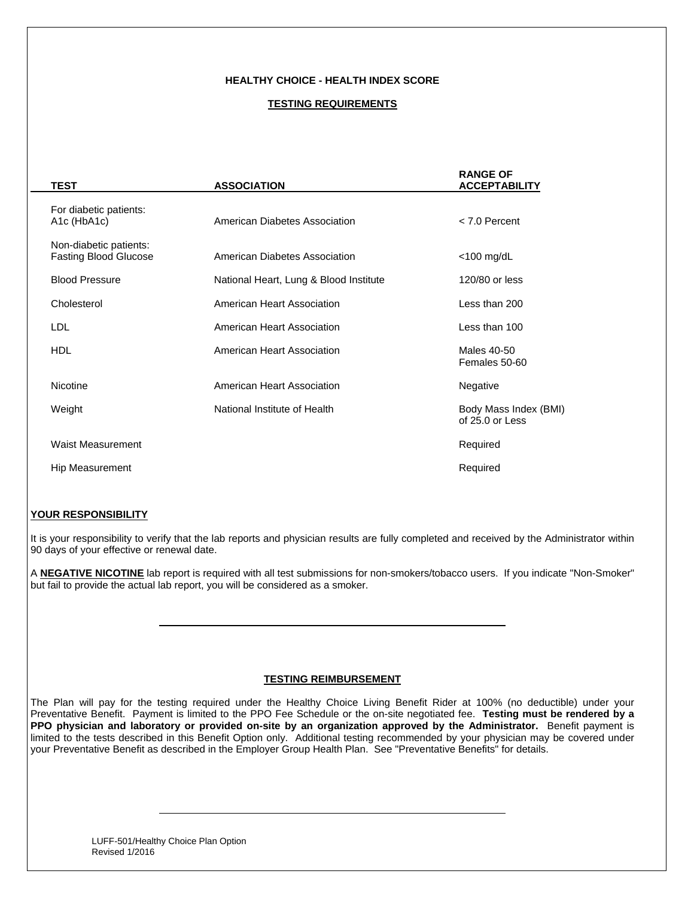#### **HEALTHY CHOICE - HEALTH INDEX SCORE**

#### **TESTING REQUIREMENTS**

| <b>TEST</b>                                                     | <b>ASSOCIATION</b>                     | <b>RANGE OF</b><br><b>ACCEPTABILITY</b>  |
|-----------------------------------------------------------------|----------------------------------------|------------------------------------------|
| For diabetic patients:<br>A <sub>1</sub> c (HbA <sub>1</sub> c) | American Diabetes Association          | $< 7.0$ Percent                          |
| Non-diabetic patients:<br><b>Fasting Blood Glucose</b>          | American Diabetes Association          | $<$ 100 mg/dL                            |
| <b>Blood Pressure</b>                                           | National Heart, Lung & Blood Institute | 120/80 or less                           |
| Cholesterol                                                     | American Heart Association             | Less than 200                            |
| LDL                                                             | American Heart Association             | Less than 100                            |
| <b>HDL</b>                                                      | American Heart Association             | Males 40-50<br>Females 50-60             |
| Nicotine                                                        | American Heart Association             | Negative                                 |
| Weight                                                          | National Institute of Health           | Body Mass Index (BMI)<br>of 25.0 or Less |
| <b>Waist Measurement</b>                                        |                                        | Required                                 |
| <b>Hip Measurement</b>                                          |                                        | Required                                 |
|                                                                 |                                        |                                          |

#### **YOUR RESPONSIBILITY**

It is your responsibility to verify that the lab reports and physician results are fully completed and received by the Administrator within 90 days of your effective or renewal date.

A **NEGATIVE NICOTINE** lab report is required with all test submissions for non-smokers/tobacco users. If you indicate "Non-Smoker" but fail to provide the actual lab report, you will be considered as a smoker.

#### **TESTING REIMBURSEMENT**

The Plan will pay for the testing required under the Healthy Choice Living Benefit Rider at 100% (no deductible) under your Preventative Benefit. Payment is limited to the PPO Fee Schedule or the on-site negotiated fee. **Testing must be rendered by a PPO physician and laboratory or provided on-site by an organization approved by the Administrator.** Benefit payment is limited to the tests described in this Benefit Option only. Additional testing recommended by your physician may be covered under your Preventative Benefit as described in the Employer Group Health Plan. See "Preventative Benefits" for details.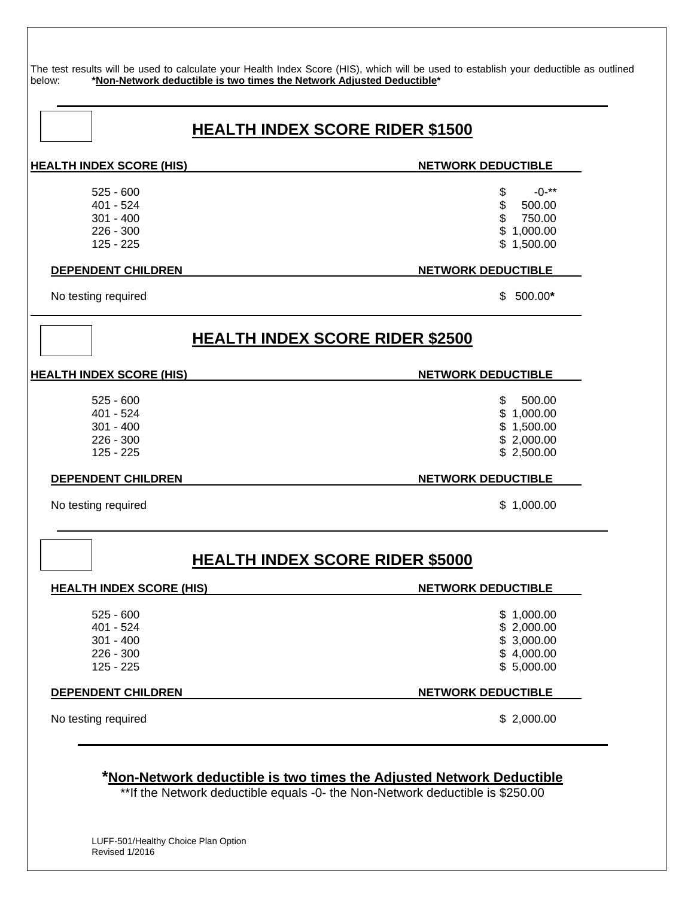The test results will be used to calculate your Health Index Score (HIS), which will be used to establish your deductible as outlined below: **\*Non-Network deductible is two times the Network Adjusted Deductible\*** 

### **HEALTH INDEX SCORE RIDER \$1500**

**HEALTH INDEX SCORE (HIS)** NETWORK DEDUCTIBLE

 $525 - 600$  \$  $-0^{-**}$  $401 - 524$  \$ 500.00  $301 - 400$  \$ 750.00

#### **DEPENDENT CHILDREN NETWORK DEDUCTIBLE**

No testing required  $\qquad \qquad$  500.00<sup>\*</sup>

### **HEALTH INDEX SCORE RIDER \$2500**

#### **HEALTH INDEX SCORE (HIS)** NETWORK DEDUCTIBLE

- $525 600$  \$ 500.00  $401 - 524$  \$ 1,000.00  $301 - 400$  \$ 1,500.00
- $226 300$  \$ 2,000.00  $125 - 225$  \$ 2,500.00

#### **DEPENDENT CHILDREN NETWORK DEDUCTIBLE**

No testing required  $\qquad \qquad$  1,000.00

### **HEALTH INDEX SCORE RIDER \$5000**

# **HEALTH INDEX SCORE (HIS)** NETWORK DEDUCTIBLE

 $525 - 600$  \$ 1,000.00 401 - 524 \$ 2,000.00  $301 - 400$  \$ 3,000.00  $226 - 300$  \$ 4,000.00  $125 - 225$  \$ 5,000.00

### **DEPENDENT CHILDREN NETWORK DEDUCTIBLE**

No testing required  $\qquad \qquad$  2,000.00

### **\*Non-Network deductible is two times the Adjusted Network Deductible**

\*\*If the Network deductible equals -0- the Non-Network deductible is \$250.00

 $226 - 300$  \$ 1,000.00  $125 - 225$  \$ 1,500.00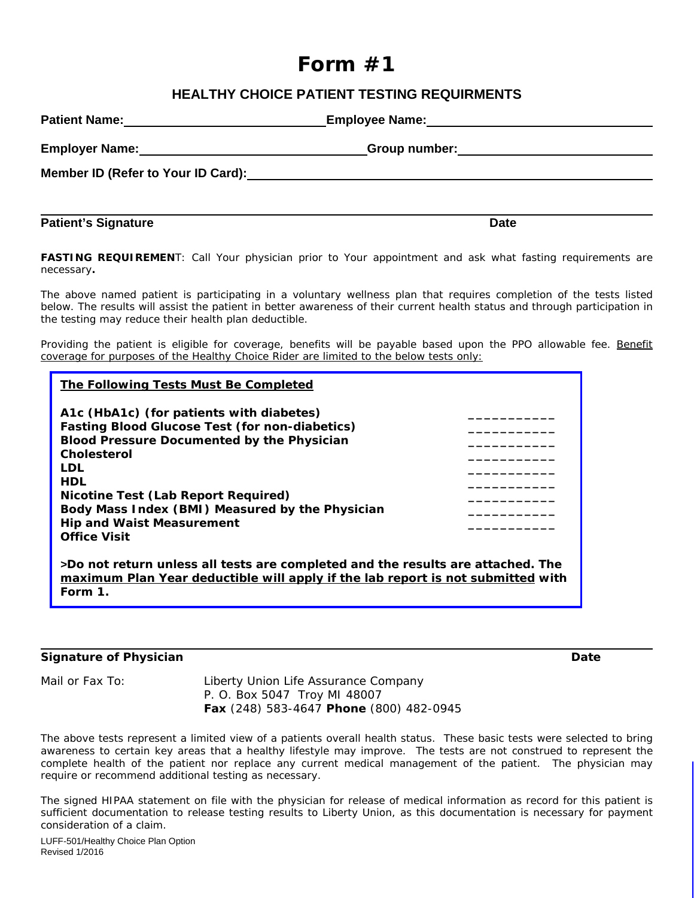# **Form #1**

### **HEALTHY CHOICE PATIENT TESTING REQUIRMENTS**

|                                                                                                                | Employee Name: Mannel Manual Management Communication of the Manual Manual Manual Manual Manual Manual Manual   |  |
|----------------------------------------------------------------------------------------------------------------|-----------------------------------------------------------------------------------------------------------------|--|
|                                                                                                                | Group number: University of the Contract of the Contract of the Contract of the Contract of the Contract of the |  |
| Member ID (Refer to Your ID Card): Member 2008 and the Card of the Card of the Card of the Card of the Card of |                                                                                                                 |  |
|                                                                                                                |                                                                                                                 |  |

**FASTING REQUIREMEN**T: *Call Your physician prior to Your appointment and ask what fasting requirements are necessary.* 

**Patient's Signature Date Accord Patient's Signature Date Accord Patient's Signature Date** 

The above named patient is participating in a voluntary wellness plan that requires completion of the tests listed below. The results will assist the patient in better awareness of their current health status and through participation in the testing may reduce their health plan deductible.

Providing the patient is eligible for coverage, benefits will be payable based upon the PPO allowable fee. Benefit coverage for purposes of the Healthy Choice Rider are limited to the below tests only:

| The Following Tests Must Be Completed                                                                                                                                                                                                                                                                                                                  |  |  |  |  |  |
|--------------------------------------------------------------------------------------------------------------------------------------------------------------------------------------------------------------------------------------------------------------------------------------------------------------------------------------------------------|--|--|--|--|--|
| A1c (HbA1c) (for patients with diabetes)<br><b>Fasting Blood Glucose Test (for non-diabetics)</b><br><b>Blood Pressure Documented by the Physician</b><br><b>Cholesterol</b><br>LDL<br><b>HDL</b><br>Nicotine Test (Lab Report Required)<br>Body Mass Index (BMI) Measured by the Physician<br><b>Hip and Waist Measurement</b><br><b>Office Visit</b> |  |  |  |  |  |
| >Do not return unless all tests are completed and the results are attached. The<br>maximum Plan Year deductible will apply if the lab report is not submitted with<br>Form 1.                                                                                                                                                                          |  |  |  |  |  |

### **Signature of Physician Community Community Community Community Community Community Community Community Community**

Mail or Fax To: Liberty Union Life Assurance Company P. O. Box 5047 Troy MI 48007 **Fax** (248) 583-4647 **Phone** (800) 482-0945

The above tests represent a limited view of a patients overall health status. These basic tests were selected to bring awareness to certain key areas that a healthy lifestyle may improve. The tests are not construed to represent the complete health of the patient nor replace any current medical management of the patient. The physician may require or recommend additional testing as necessary.

The signed HIPAA statement on file with the physician for release of medical information as record for this patient is sufficient documentation to release testing results to Liberty Union, as this documentation is necessary for payment consideration of a claim.

LUFF-501/Healthy Choice Plan Option Revised 1/2016